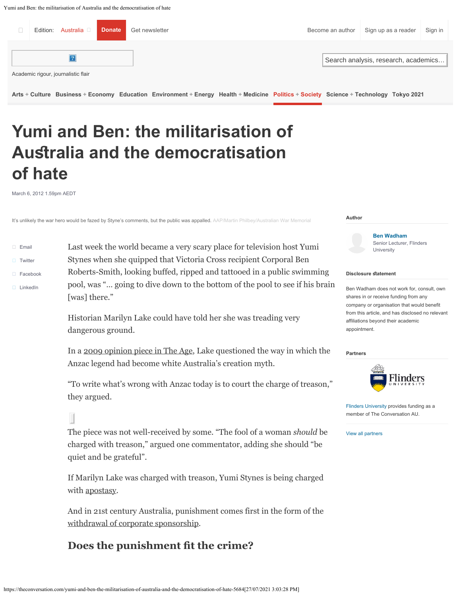Yumi and Ben: the militarisation of Australia and the democratisation of hate



**Yumi and Ben: the militarisation of Ausralia and the democratisation of hate**

March 6, 2012 1.59pm AEDT

It's unlikely the war hero would be fazed by Styne's comments, but the public was appalled. AAP/Martin Philbey/Australian War Memorial

| Email<br>П. | Last week the world became a very scary place for television host Yumi                                                               |                                                     |
|-------------|--------------------------------------------------------------------------------------------------------------------------------------|-----------------------------------------------------|
| Twitter     | Stynes when she quipped that Victoria Cross recipient Corporal Ben                                                                   |                                                     |
| Facebook    | Roberts-Smith, looking buffed, ripped and tattooed in a public swimming                                                              | <b>Disclosur</b>                                    |
| LinkedIn    | pool, was " going to dive down to the bottom of the pool to see if his brain                                                         | <b>Ben Wadh</b>                                     |
|             | [was] there."                                                                                                                        | shares in                                           |
|             | Historian Marilyn Lake could have told her she was treading very<br>dangerous ground.                                                | company<br>from this a<br>affiliations<br>appointme |
|             | In a 2009 opinion piece in The Age, Lake questioned the way in which the<br>Anzac legend had become white Australia's creation myth. | <b>Partners</b>                                     |

"To write what's wrong with Anzac today is to court the charge of treason," they argued.

 $\blacksquare$ 

The piece was not well-received by some. "The fool of a woman *should* be charged with treason," argued one commentator, adding she should "be quiet and be grateful".

If Marilyn Lake was charged with treason, Yumi Stynes is being charged with [apostasy](http://en.wikipedia.org/wiki/Apostasy).

And in 21st century Australia, punishment comes first in the form of the [withdrawal of corporate sponsorship.](http://www.news.com.au/entertainment/television/sponsors-jump-ship-over-the-circles-tv-slur/story-e6frfmyi-1226290063539)

# **Does the punishment ft the crime?**

**Author**

**[Ben Wadham](https://theconversation.com/profiles/ben-wadham-4568)** Senior Lecturer, Flinders University

#### **Pe statement**

am does not work for, consult, own or receive funding from any or organisation that would benefit article, and has disclosed no relevant beyond their academic  $int.$ 



[Flinders University](https://theconversation.com/institutions/flinders-university-972) provides funding as a member of The Conversation AU.

[View all partners](https://theconversation.com/au/partners)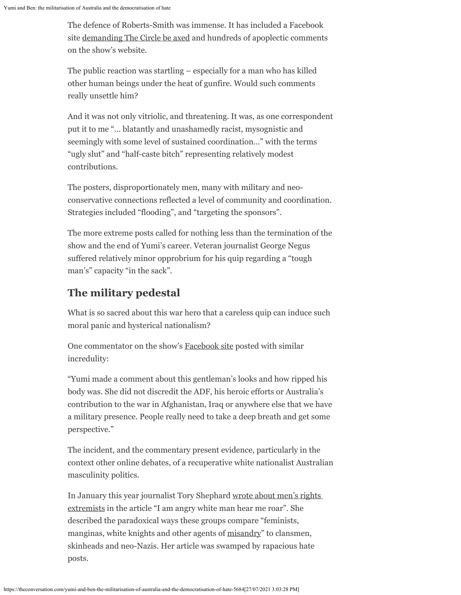The defence of Roberts-Smith was immense. It has included a Facebook site [demanding The Circle be axed](https://www.facebook.com/AxeTheCircle) and hundreds of apoplectic comments on the show's website.

The public reaction was startling – especially for a man who has killed other human beings under the heat of gunfire. Would such comments really unsettle him?

And it was not only vitriolic, and threatening. It was, as one correspondent put it to me "… blatantly and unashamedly racist, mysognistic and seemingly with some level of sustained coordination…" with the terms "ugly slut" and "half-caste bitch" representing relatively modest contributions.

The posters, disproportionately men, many with military and neoconservative connections reflected a level of community and coordination. Strategies included "flooding", and "targeting the sponsors".

The more extreme posts called for nothing less than the termination of the show and the end of Yumi's career. Veteran journalist George Negus suffered relatively minor opprobrium for his quip regarding a "tough man's" capacity "in the sack".

### **The military pedestal**

What is so sacred about this war hero that a careless quip can induce such moral panic and hysterical nationalism?

One commentator on the show's [Facebook site](http://www.facebook.com/CircleTV) posted with similar incredulity:

"Yumi made a comment about this gentleman's looks and how ripped his body was. She did not discredit the ADF, his heroic efforts or Australia's contribution to the war in Afghanistan, Iraq or anywhere else that we have a military presence. People really need to take a deep breath and get some perspective."

The incident, and the commentary present evidence, particularly in the context other online debates, of a recuperative white nationalist Australian masculinity politics.

In January this year journalist Tory Shephard [wrote about men's rights](http://www.thepunch.com.au/articles/i-am-angry-white-man-hear-me-roar/) [extremists](http://www.thepunch.com.au/articles/i-am-angry-white-man-hear-me-roar/) in the article "I am angry white man hear me roar". She described the paradoxical ways these groups compare "feminists, manginas, white knights and other agents of [misandry"](http://en.wikipedia.org/wiki/Misandry) to clansmen, skinheads and neo-Nazis. Her article was swamped by rapacious hate posts.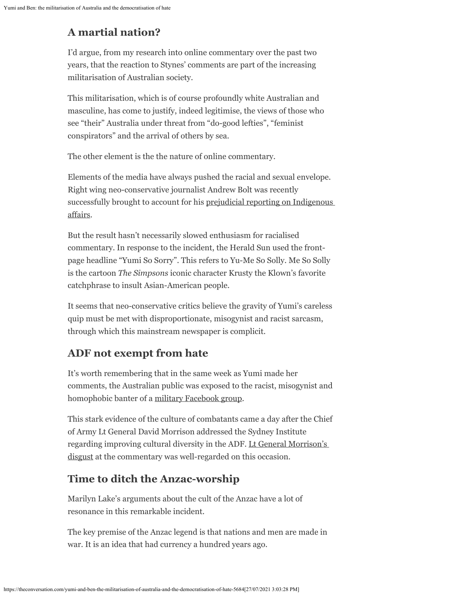# **A martial nation?**

I'd argue, from my research into online commentary over the past two years, that the reaction to Stynes' comments are part of the increasing militarisation of Australian society.

This militarisation, which is of course profoundly white Australian and masculine, has come to justify, indeed legitimise, the views of those who see "their" Australia under threat from "do-good lefties", "feminist conspirators" and the arrival of others by sea.

The other element is the the nature of online commentary.

Elements of the media have always pushed the racial and sexual envelope. Right wing neo-conservative journalist Andrew Bolt was recently successfully brought to account for his [prejudicial reporting on Indigenous](https://theconversation.com/bolt-loses-in-court-but-will-public-condemnation-follow-3597) [affairs.](https://theconversation.com/bolt-loses-in-court-but-will-public-condemnation-follow-3597)

But the result hasn't necessarily slowed enthusiasm for racialised commentary. In response to the incident, the Herald Sun used the frontpage headline "Yumi So Sorry". This refers to Yu-Me So Solly. Me So Solly is the cartoon *The Simpsons* iconic character Krusty the Klown's favorite catchphrase to insult Asian-American people.

It seems that neo-conservative critics believe the gravity of Yumi's careless quip must be met with disproportionate, misogynist and racist sarcasm, through which this mainstream newspaper is complicit.

# **ADF not exempt from hate**

It's worth remembering that in the same week as Yumi made her comments, the Australian public was exposed to the racist, misogynist and homophobic banter of a [military Facebook group](http://www.abc.net.au/news/2012-02-29/racism2c-sexism-rife-on-adf-facebook-group/3860736/?site=sydney).

This stark evidence of the culture of combatants came a day after the Chief of Army Lt General David Morrison addressed the Sydney Institute regarding improving cultural diversity in the ADF. [Lt General Morrison's](http://www.abc.net.au/7.30/content/2012/s3443742.htm) [disgust](http://www.abc.net.au/7.30/content/2012/s3443742.htm) at the commentary was well-regarded on this occasion.

# **Time to ditch the Anzac-worship**

Marilyn Lake's arguments about the cult of the Anzac have a lot of resonance in this remarkable incident.

The key premise of the Anzac legend is that nations and men are made in war. It is an idea that had currency a hundred years ago.